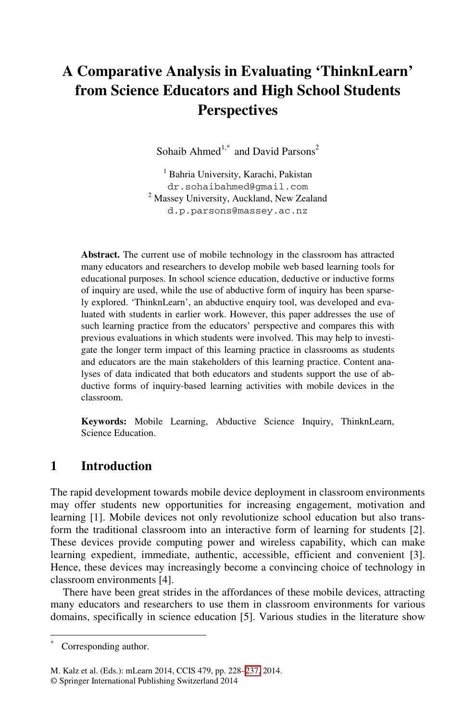# **A Comparative Analysis in Evaluating 'ThinknLearn' from Science Educators and High School Students Perspectives**

Sohaib Ahmed<sup>1,\*</sup> and David Parsons<sup>2</sup>

1 Bahria University, Karachi, Pakistan dr.sohaibahmed@gmail.com <sup>2</sup> Massey University, Auckland, New Zealand d.p.parsons@massey.ac.nz

**Abstract.** The current use of mobile technology in the classroom has attracted many educators and researchers to develop mobile web based learning tools for educational purposes. In school science education, deductive or inductive forms of inquiry are used, while the use of abductive form of inquiry has been sparsely explored. 'ThinknLearn', an abductive enquiry tool, was developed and evaluated with students in earlier work. However, this paper addresses the use of such learning practice from the educators' perspective and compares this with previous evaluations in which students were involved. This may help to investigate the longer term impact of this learning practice in classrooms as students and educators are the main stakeholders of this learning practice. Content analyses of data indicated that both educators and students support the use of abductive forms of inquiry-based learning activities with mobile devices in the classroom.

**Keywords:** Mobile Learning, Abductive Science Inquiry, ThinknLearn, Science Education.

#### **1 Introduction**

The rapid development towards mobile device deployment in classroom environments may offer students new opportunities for increasing engagement, motivation and learning [1]. Mobile devices not only revolutionize school education but also transform the traditional classroom into an interactive form of learning for students [2]. These devices provide computing power and wireless capability, which can make learning expedient, immediate, authentic, accessible, efficient and convenient [3]. Hence, these devices ma[y inc](#page-9-0)reasingly become a convincing choice of technology in classroom environments [4].

There have been great strides in the affordances of these mobile devices, attracting many educators and researchers to use them in classroom environments for various domains, specifically in science education [5]. Various studies in the literature show

 \* Corresponding author.

M. Kalz et al. (Eds.): mLearn 2014, CCIS 479, pp. 228–237, 2014.

<sup>©</sup> Springer International Publishing Switzerland 2014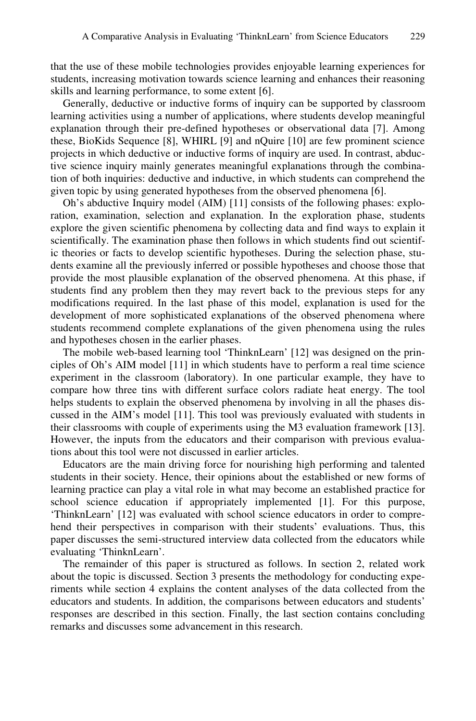that the use of these mobile technologies provides enjoyable learning experiences for students, increasing motivation towards science learning and enhances their reasoning skills and learning performance, to some extent [6].

Generally, deductive or inductive forms of inquiry can be supported by classroom learning activities using a number of applications, where students develop meaningful explanation through their pre-defined hypotheses or observational data [7]. Among these, BioKids Sequence [8], WHIRL [9] and nQuire [10] are few prominent science projects in which deductive or inductive forms of inquiry are used. In contrast, abductive science inquiry mainly generates meaningful explanations through the combination of both inquiries: deductive and inductive, in which students can comprehend the given topic by using generated hypotheses from the observed phenomena [6].

Oh's abductive Inquiry model (AIM) [11] consists of the following phases: exploration, examination, selection and explanation. In the exploration phase, students explore the given scientific phenomena by collecting data and find ways to explain it scientifically. The examination phase then follows in which students find out scientific theories or facts to develop scientific hypotheses. During the selection phase, students examine all the previously inferred or possible hypotheses and choose those that provide the most plausible explanation of the observed phenomena. At this phase, if students find any problem then they may revert back to the previous steps for any modifications required. In the last phase of this model, explanation is used for the development of more sophisticated explanations of the observed phenomena where students recommend complete explanations of the given phenomena using the rules and hypotheses chosen in the earlier phases.

The mobile web-based learning tool 'ThinknLearn' [12] was designed on the principles of Oh's AIM model [11] in which students have to perform a real time science experiment in the classroom (laboratory). In one particular example, they have to compare how three tins with different surface colors radiate heat energy. The tool helps students to explain the observed phenomena by involving in all the phases discussed in the AIM's model [11]. This tool was previously evaluated with students in their classrooms with couple of experiments using the M3 evaluation framework [13]. However, the inputs from the educators and their comparison with previous evaluations about this tool were not discussed in earlier articles.

Educators are the main driving force for nourishing high performing and talented students in their society. Hence, their opinions about the established or new forms of learning practice can play a vital role in what may become an established practice for school science education if appropriately implemented [1]. For this purpose, 'ThinknLearn' [12] was evaluated with school science educators in order to comprehend their perspectives in comparison with their students' evaluations. Thus, this paper discusses the semi-structured interview data collected from the educators while evaluating 'ThinknLearn'.

The remainder of this paper is structured as follows. In section 2, related work about the topic is discussed. Section 3 presents the methodology for conducting experiments while section 4 explains the content analyses of the data collected from the educators and students. In addition, the comparisons between educators and students' responses are described in this section. Finally, the last section contains concluding remarks and discusses some advancement in this research.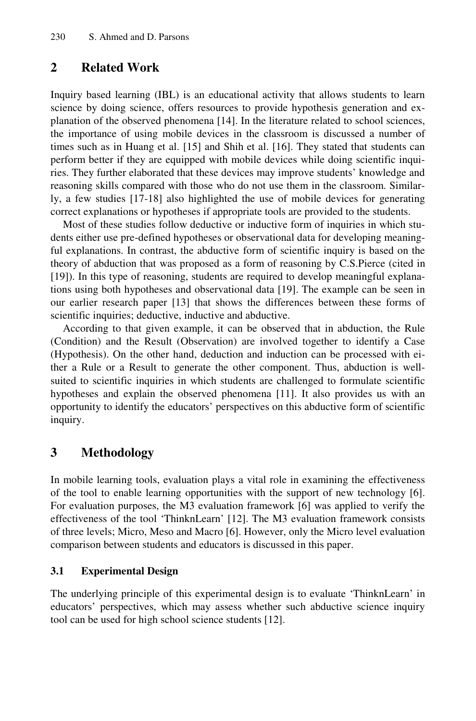### **2 Related Work**

Inquiry based learning (IBL) is an educational activity that allows students to learn science by doing science, offers resources to provide hypothesis generation and explanation of the observed phenomena [14]. In the literature related to school sciences, the importance of using mobile devices in the classroom is discussed a number of times such as in Huang et al. [15] and Shih et al. [16]. They stated that students can perform better if they are equipped with mobile devices while doing scientific inquiries. They further elaborated that these devices may improve students' knowledge and reasoning skills compared with those who do not use them in the classroom. Similarly, a few studies [17-18] also highlighted the use of mobile devices for generating correct explanations or hypotheses if appropriate tools are provided to the students.

Most of these studies follow deductive or inductive form of inquiries in which students either use pre-defined hypotheses or observational data for developing meaningful explanations. In contrast, the abductive form of scientific inquiry is based on the theory of abduction that was proposed as a form of reasoning by C.S.Pierce (cited in [19]). In this type of reasoning, students are required to develop meaningful explanations using both hypotheses and observational data [19]. The example can be seen in our earlier research paper [13] that shows the differences between these forms of scientific inquiries; deductive, inductive and abductive.

According to that given example, it can be observed that in abduction, the Rule (Condition) and the Result (Observation) are involved together to identify a Case (Hypothesis). On the other hand, deduction and induction can be processed with either a Rule or a Result to generate the other component. Thus, abduction is wellsuited to scientific inquiries in which students are challenged to formulate scientific hypotheses and explain the observed phenomena [11]. It also provides us with an opportunity to identify the educators' perspectives on this abductive form of scientific inquiry.

# **3 Methodology**

In mobile learning tools, evaluation plays a vital role in examining the effectiveness of the tool to enable learning opportunities with the support of new technology [6]. For evaluation purposes, the M3 evaluation framework [6] was applied to verify the effectiveness of the tool 'ThinknLearn' [12]. The M3 evaluation framework consists of three levels; Micro, Meso and Macro [6]. However, only the Micro level evaluation comparison between students and educators is discussed in this paper.

#### **3.1 Experimental Design**

The underlying principle of this experimental design is to evaluate 'ThinknLearn' in educators' perspectives, which may assess whether such abductive science inquiry tool can be used for high school science students [12].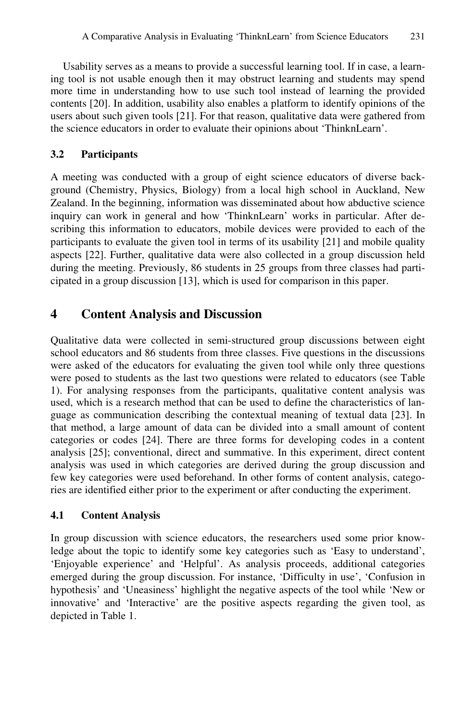Usability serves as a means to provide a successful learning tool. If in case, a learning tool is not usable enough then it may obstruct learning and students may spend more time in understanding how to use such tool instead of learning the provided contents [20]. In addition, usability also enables a platform to identify opinions of the users about such given tools [21]. For that reason, qualitative data were gathered from the science educators in order to evaluate their opinions about 'ThinknLearn'.

#### **3.2 Participants**

A meeting was conducted with a group of eight science educators of diverse background (Chemistry, Physics, Biology) from a local high school in Auckland, New Zealand. In the beginning, information was disseminated about how abductive science inquiry can work in general and how 'ThinknLearn' works in particular. After describing this information to educators, mobile devices were provided to each of the participants to evaluate the given tool in terms of its usability [21] and mobile quality aspects [22]. Further, qualitative data were also collected in a group discussion held during the meeting. Previously, 86 students in 25 groups from three classes had participated in a group discussion [13], which is used for comparison in this paper.

# **4 Content Analysis and Discussion**

Qualitative data were collected in semi-structured group discussions between eight school educators and 86 students from three classes. Five questions in the discussions were asked of the educators for evaluating the given tool while only three questions were posed to students as the last two questions were related to educators (see Table 1). For analysing responses from the participants, qualitative content analysis was used, which is a research method that can be used to define the characteristics of language as communication describing the contextual meaning of textual data [23]. In that method, a large amount of data can be divided into a small amount of content categories or codes [24]. There are three forms for developing codes in a content analysis [25]; conventional, direct and summative. In this experiment, direct content analysis was used in which categories are derived during the group discussion and few key categories were used beforehand. In other forms of content analysis, categories are identified either prior to the experiment or after conducting the experiment.

#### **4.1 Content Analysis**

In group discussion with science educators, the researchers used some prior knowledge about the topic to identify some key categories such as 'Easy to understand', 'Enjoyable experience' and 'Helpful'. As analysis proceeds, additional categories emerged during the group discussion. For instance, 'Difficulty in use', 'Confusion in hypothesis' and 'Uneasiness' highlight the negative aspects of the tool while 'New or innovative' and 'Interactive' are the positive aspects regarding the given tool, as depicted in Table 1.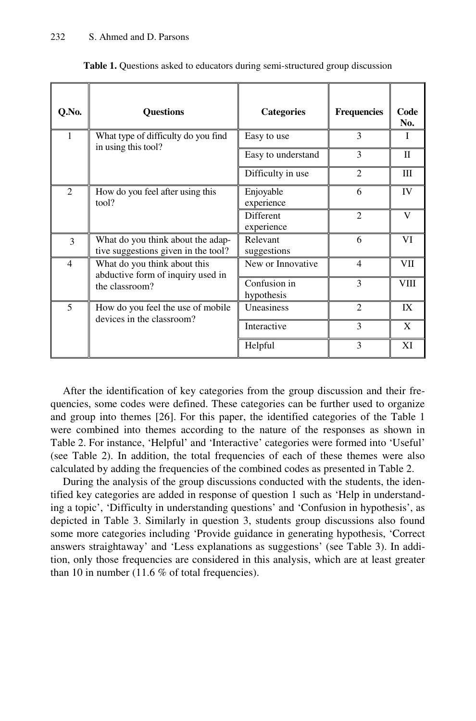| Q.No.                   | <b>Ouestions</b>                                                                    | <b>Categories</b>          | <b>Frequencies</b> | Code<br>No. |
|-------------------------|-------------------------------------------------------------------------------------|----------------------------|--------------------|-------------|
| $\mathbf{1}$            | What type of difficulty do you find<br>in using this tool?                          | Easy to use                | 3                  | I           |
|                         |                                                                                     | Easy to understand         | 3                  | П           |
|                         |                                                                                     | Difficulty in use          | $\overline{2}$     | Ш           |
| 2                       | How do you feel after using this<br>tool?                                           | Enjoyable<br>experience    | 6                  | IV          |
|                         |                                                                                     | Different<br>experience    | $\mathfrak{D}$     | V           |
| 3                       | What do you think about the adap-<br>tive suggestions given in the tool?            | Relevant<br>suggestions    | 6                  | VI          |
| $\overline{4}$          | What do you think about this<br>abductive form of inquiry used in<br>the classroom? | New or Innovative          | $\overline{4}$     | VII         |
|                         |                                                                                     | Confusion in<br>hypothesis | 3                  | VIII        |
| $\overline{\mathbf{5}}$ | How do you feel the use of mobile<br>devices in the classroom?                      | Uneasiness                 | $\overline{2}$     | IX          |
|                         |                                                                                     | Interactive                | 3                  | X           |
|                         |                                                                                     | Helpful                    | 3                  | ΧI          |

**Table 1.** Questions asked to educators during semi-structured group discussion

After the identification of key categories from the group discussion and their frequencies, some codes were defined. These categories can be further used to organize and group into themes [26]. For this paper, the identified categories of the Table 1 were combined into themes according to the nature of the responses as shown in Table 2. For instance, 'Helpful' and 'Interactive' categories were formed into 'Useful' (see Table 2). In addition, the total frequencies of each of these themes were also calculated by adding the frequencies of the combined codes as presented in Table 2.

During the analysis of the group discussions conducted with the students, the identified key categories are added in response of question 1 such as 'Help in understanding a topic', 'Difficulty in understanding questions' and 'Confusion in hypothesis', as depicted in Table 3. Similarly in question 3, students group discussions also found some more categories including 'Provide guidance in generating hypothesis, 'Correct answers straightaway' and 'Less explanations as suggestions' (see Table 3). In addition, only those frequencies are considered in this analysis, which are at least greater than 10 in number (11.6  $%$  of total frequencies).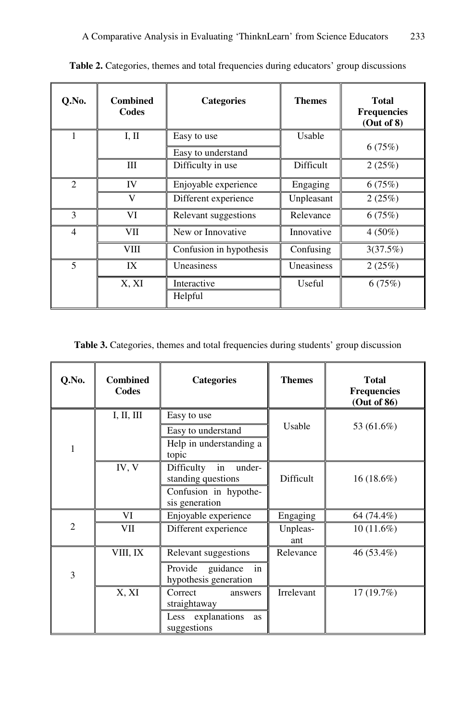| Q.No.          | <b>Combined</b><br>Codes | <b>Categories</b>       | <b>Themes</b> | <b>Total</b><br><b>Frequencies</b><br>(Out of 8) |
|----------------|--------------------------|-------------------------|---------------|--------------------------------------------------|
|                | I, II                    | Easy to use             | Usable        |                                                  |
|                |                          | Easy to understand      |               | 6(75%)                                           |
|                | Ш                        | Difficulty in use       | Difficult     | 2(25%)                                           |
| $\overline{c}$ | IV                       | Enjoyable experience    | Engaging      | 6(75%)                                           |
|                | v                        | Different experience    | Unpleasant    | 2(25%)                                           |
| 3              | VI                       | Relevant suggestions    | Relevance     | 6(75%)                                           |
| $\overline{4}$ | VII                      | New or Innovative       | Innovative    | $4(50\%)$                                        |
|                | VIII                     | Confusion in hypothesis | Confusing     | 3(37.5%)                                         |
| 5              | IX                       | Uneasiness              | Uneasiness    | 2(25%)                                           |
|                | X, XI                    | Interactive             | Useful        | 6(75%)                                           |
|                |                          | Helpful                 |               |                                                  |

Table 2. Categories, themes and total frequencies during educators' group discussions

Table 3. Categories, themes and total frequencies during students' group discussion

| Q.No.          | <b>Combined</b><br>Codes | <b>Categories</b>                                  | <b>Themes</b>   | <b>Total</b><br><b>Frequencies</b><br>(Out of 86) |
|----------------|--------------------------|----------------------------------------------------|-----------------|---------------------------------------------------|
| 1              | I, II, III               | Easy to use                                        |                 |                                                   |
|                |                          | Easy to understand                                 | Usable          | 53 (61.6%)                                        |
|                |                          | Help in understanding a<br>topic                   |                 |                                                   |
|                | IV, V                    | Difficulty<br>in<br>under-<br>standing questions   | Difficult       | $16(18.6\%)$                                      |
|                |                          | Confusion in hypothe-<br>sis generation            |                 |                                                   |
| $\overline{2}$ | VI                       | Enjoyable experience                               | Engaging        | 64 (74.4%)                                        |
|                | VII                      | Different experience                               | Unpleas-<br>ant | $10(11.6\%)$                                      |
| 3              | VIII, IX                 | Relevant suggestions                               | Relevance       | 46 (53.4%)                                        |
|                |                          | Provide<br>guidance<br>in<br>hypothesis generation |                 |                                                   |
|                | X, XI                    | Correct<br>answers<br>straightaway                 | Irrelevant      | 17(19.7%)                                         |
|                |                          | explanations<br>Less<br>as<br>suggestions          |                 |                                                   |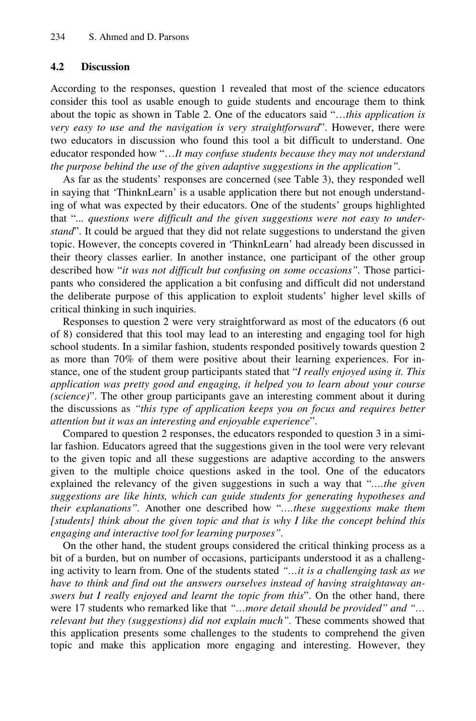#### **4.2 Discussion**

According to the responses, question 1 revealed that most of the science educators consider this tool as usable enough to guide students and encourage them to think about the topic as shown in Table 2. One of the educators said "…*this application is very easy to use and the navigation is very straightforward*". However, there were two educators in discussion who found this tool a bit difficult to understand. One educator responded how "…*It may confuse students because they may not understand the purpose behind the use of the given adaptive suggestions in the application".*

As far as the students' responses are concerned (see Table 3), they responded well in saying that 'ThinknLearn' is a usable application there but not enough understanding of what was expected by their educators. One of the students' groups highlighted that "... *questions were difficult and the given suggestions were not easy to understand*". It could be argued that they did not relate suggestions to understand the given topic. However, the concepts covered in 'ThinknLearn' had already been discussed in their theory classes earlier. In another instance, one participant of the other group described how "*it was not difficult but confusing on some occasions".* Those participants who considered the application a bit confusing and difficult did not understand the deliberate purpose of this application to exploit students' higher level skills of critical thinking in such inquiries.

Responses to question 2 were very straightforward as most of the educators (6 out of 8) considered that this tool may lead to an interesting and engaging tool for high school students. In a similar fashion, students responded positively towards question 2 as more than 70% of them were positive about their learning experiences. For instance, one of the student group participants stated that "*I really enjoyed using it. This application was pretty good and engaging, it helped you to learn about your course (science)*". The other group participants gave an interesting comment about it during the discussions as *"this type of application keeps you on focus and requires better attention but it was an interesting and enjoyable experience*".

Compared to question 2 responses, the educators responded to question 3 in a similar fashion. Educators agreed that the suggestions given in the tool were very relevant to the given topic and all these suggestions are adaptive according to the answers given to the multiple choice questions asked in the tool. One of the educators explained the relevancy of the given suggestions in such a way that "*….the given suggestions are like hints, which can guide students for generating hypotheses and their explanations".* Another one described how "*….these suggestions make them [students] think about the given topic and that is why I like the concept behind this engaging and interactive tool for learning purposes".* 

On the other hand, the student groups considered the critical thinking process as a bit of a burden, but on number of occasions, participants understood it as a challenging activity to learn from. One of the students stated *"…it is a challenging task as we have to think and find out the answers ourselves instead of having straightaway answers but I really enjoyed and learnt the topic from this*". On the other hand, there were 17 students who remarked like that *"…more detail should be provided" and "… relevant but they (suggestions) did not explain much".* These comments showed that this application presents some challenges to the students to comprehend the given topic and make this application more engaging and interesting. However, they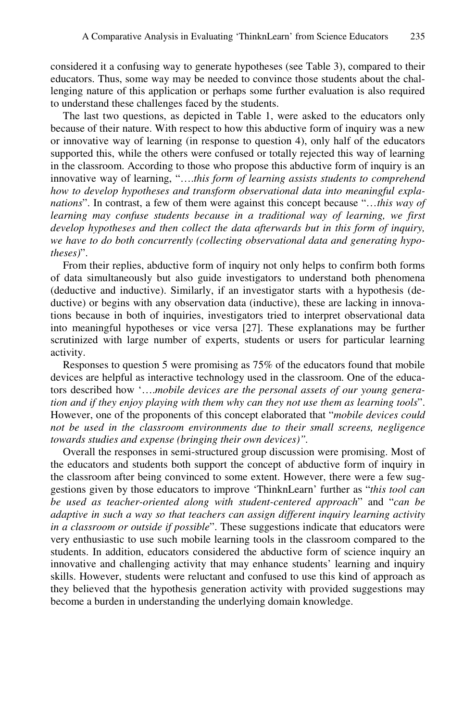considered it a confusing way to generate hypotheses (see Table 3), compared to their educators. Thus, some way may be needed to convince those students about the challenging nature of this application or perhaps some further evaluation is also required to understand these challenges faced by the students.

The last two questions, as depicted in Table 1, were asked to the educators only because of their nature. With respect to how this abductive form of inquiry was a new or innovative way of learning (in response to question 4), only half of the educators supported this, while the others were confused or totally rejected this way of learning in the classroom. According to those who propose this abductive form of inquiry is an innovative way of learning, "….*this form of learning assists students to comprehend how to develop hypotheses and transform observational data into meaningful explanations*". In contrast, a few of them were against this concept because "…*this way of learning may confuse students because in a traditional way of learning, we first develop hypotheses and then collect the data afterwards but in this form of inquiry, we have to do both concurrently (collecting observational data and generating hypotheses)*".

From their replies, abductive form of inquiry not only helps to confirm both forms of data simultaneously but also guide investigators to understand both phenomena (deductive and inductive). Similarly, if an investigator starts with a hypothesis (deductive) or begins with any observation data (inductive), these are lacking in innovations because in both of inquiries, investigators tried to interpret observational data into meaningful hypotheses or vice versa [27]. These explanations may be further scrutinized with large number of experts, students or users for particular learning activity.

Responses to question 5 were promising as 75% of the educators found that mobile devices are helpful as interactive technology used in the classroom. One of the educators described how '….*mobile devices are the personal assets of our young generation and if they enjoy playing with them why can they not use them as learning tools*". However, one of the proponents of this concept elaborated that "*mobile devices could not be used in the classroom environments due to their small screens, negligence towards studies and expense (bringing their own devices)".* 

Overall the responses in semi-structured group discussion were promising. Most of the educators and students both support the concept of abductive form of inquiry in the classroom after being convinced to some extent. However, there were a few suggestions given by those educators to improve 'ThinknLearn' further as "*this tool can be used as teacher-oriented along with student-centered approach*" and "*can be adaptive in such a way so that teachers can assign different inquiry learning activity in a classroom or outside if possible*". These suggestions indicate that educators were very enthusiastic to use such mobile learning tools in the classroom compared to the students. In addition, educators considered the abductive form of science inquiry an innovative and challenging activity that may enhance students' learning and inquiry skills. However, students were reluctant and confused to use this kind of approach as they believed that the hypothesis generation activity with provided suggestions may become a burden in understanding the underlying domain knowledge.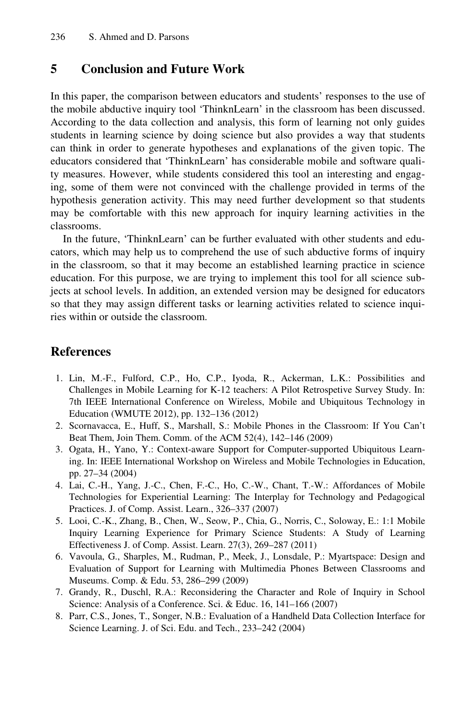# **5 Conclusion and Future Work**

In this paper, the comparison between educators and students' responses to the use of the mobile abductive inquiry tool 'ThinknLearn' in the classroom has been discussed. According to the data collection and analysis, this form of learning not only guides students in learning science by doing science but also provides a way that students can think in order to generate hypotheses and explanations of the given topic. The educators considered that 'ThinknLearn' has considerable mobile and software quality measures. However, while students considered this tool an interesting and engaging, some of them were not convinced with the challenge provided in terms of the hypothesis generation activity. This may need further development so that students may be comfortable with this new approach for inquiry learning activities in the classrooms.

In the future, 'ThinknLearn' can be further evaluated with other students and educators, which may help us to comprehend the use of such abductive forms of inquiry in the classroom, so that it may become an established learning practice in science education. For this purpose, we are trying to implement this tool for all science subjects at school levels. In addition, an extended version may be designed for educators so that they may assign different tasks or learning activities related to science inquiries within or outside the classroom.

# **References**

- 1. Lin, M.-F., Fulford, C.P., Ho, C.P., Iyoda, R., Ackerman, L.K.: Possibilities and Challenges in Mobile Learning for K-12 teachers: A Pilot Retrospetive Survey Study. In: 7th IEEE International Conference on Wireless, Mobile and Ubiquitous Technology in Education (WMUTE 2012), pp. 132–136 (2012)
- 2. Scornavacca, E., Huff, S., Marshall, S.: Mobile Phones in the Classroom: If You Can't Beat Them, Join Them. Comm. of the ACM 52(4), 142–146 (2009)
- 3. Ogata, H., Yano, Y.: Context-aware Support for Computer-supported Ubiquitous Learning. In: IEEE International Workshop on Wireless and Mobile Technologies in Education, pp. 27–34 (2004)
- 4. Lai, C.-H., Yang, J.-C., Chen, F.-C., Ho, C.-W., Chant, T.-W.: Affordances of Mobile Technologies for Experiential Learning: The Interplay for Technology and Pedagogical Practices. J. of Comp. Assist. Learn., 326–337 (2007)
- 5. Looi, C.-K., Zhang, B., Chen, W., Seow, P., Chia, G., Norris, C., Soloway, E.: 1:1 Mobile Inquiry Learning Experience for Primary Science Students: A Study of Learning Effectiveness J. of Comp. Assist. Learn. 27(3), 269–287 (2011)
- 6. Vavoula, G., Sharples, M., Rudman, P., Meek, J., Lonsdale, P.: Myartspace: Design and Evaluation of Support for Learning with Multimedia Phones Between Classrooms and Museums. Comp. & Edu. 53, 286–299 (2009)
- 7. Grandy, R., Duschl, R.A.: Reconsidering the Character and Role of Inquiry in School Science: Analysis of a Conference. Sci. & Educ. 16, 141–166 (2007)
- 8. Parr, C.S., Jones, T., Songer, N.B.: Evaluation of a Handheld Data Collection Interface for Science Learning. J. of Sci. Edu. and Tech., 233–242 (2004)